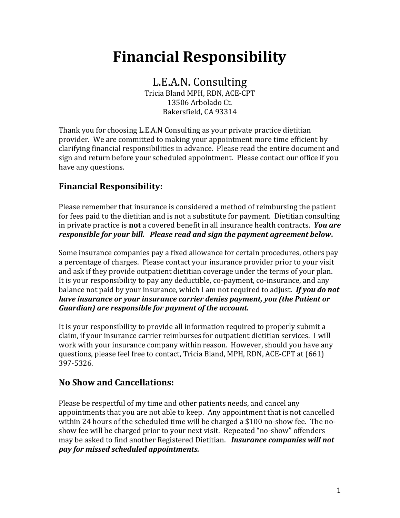# **Financial Responsibility**

L.E.A.N. Consulting Tricia Bland MPH, RDN, ACE-CPT 13506 Arbolado Ct. Bakersfield, CA 93314

Thank you for choosing L.E.A.N Consulting as your private practice dietitian provider. We are committed to making your appointment more time efficient by clarifying financial responsibilities in advance. Please read the entire document and sign and return before your scheduled appointment. Please contact our office if you have any questions.

## **Financial Responsibility:**

Please remember that insurance is considered a method of reimbursing the patient for fees paid to the dietitian and is not a substitute for payment. Dietitian consulting in private practice is **not** a covered benefit in all insurance health contracts. *You are responsible for your bill. Please read and sign the payment agreement below***.**

Some insurance companies pay a fixed allowance for certain procedures, others pay a percentage of charges. Please contact your insurance provider prior to your visit and ask if they provide outpatient dietitian coverage under the terms of your plan. It is your responsibility to pay any deductible, co-payment, co-insurance, and any balance not paid by your insurance, which I am not required to adjust. *If you do not have insurance or your insurance carrier denies payment, you (the Patient or Guardian) are responsible for payment of the account.*

It is your responsibility to provide all information required to properly submit a claim, if your insurance carrier reimburses for outpatient dietitian services. I will work with your insurance company within reason. However, should you have any questions, please feel free to contact, Tricia Bland, MPH, RDN, ACE-CPT at (661) 397-5326.

### **No Show and Cancellations:**

Please be respectful of my time and other patients needs, and cancel any appointments that you are not able to keep. Any appointment that is not cancelled within 24 hours of the scheduled time will be charged a \$100 no-show fee. The noshow fee will be charged prior to your next visit. Repeated "no-show" offenders may be asked to find another Registered Dietitian. *Insurance companies will not pay for missed scheduled appointments.*